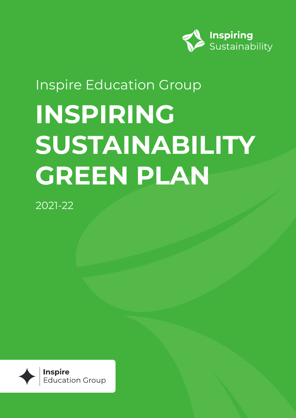

## **INSPIRING SUSTAINABILITY GREEN PLAN** Inspire Education Group

2021-22

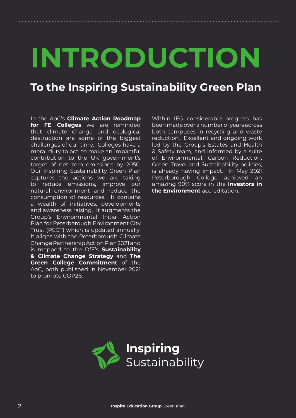# **INTRODUCTION**

## **To the Inspiring Sustainability Green Plan**

In the AoC's **Climate Action Roadmap for FE Colleges** we are reminded that climate change and ecological destruction are some of the biggest challenges of our time. Colleges have a moral duty to act; to make an impactful contribution to the UK government's target of net zero emissions by 2050. Our Inspiring Sustainability Green Plan captures the actions we are taking to reduce emissions, improve our natural environment and reduce the consumption of resources. It contains a wealth of initiatives, developments and awareness raising. It augments the Group's Environmental Initial Action Plan for Peterborough Environment City Trust (PECT) which is updated annually. It aligns with the Peterborough Climate Change Partnership Action Plan 2021 and is mapped to the DfE's **Sustainability & Climate Change Strategy** and **The Green College Commitment** of the AoC, both published in November 2021 to promote COP26.

Within IEG considerable progress has been made over a number of years across both campuses in recycling and waste reduction. Excellent and ongoing work led by the Group's Estates and Health & Safety team, and informed by a suite of Environmental, Carbon Reduction, Green Travel and Sustainability policies, is already having impact. In May 2021 Peterborough College achieved an amazing 90% score in the **Investors in the Environment** accreditation.

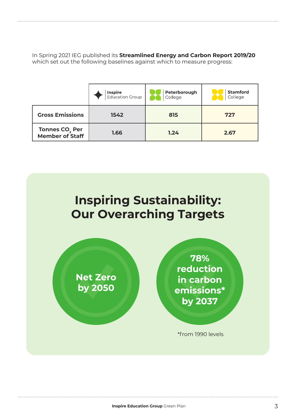In Spring 2021 IEG published its **Streamlined Energy and Carbon Report 2019/20** which set out the following baselines against which to measure progress:

|                                                      | <b>Inspire</b><br>Education Group | Peterborough<br>College | <b>Stamford</b><br>College |
|------------------------------------------------------|-----------------------------------|-------------------------|----------------------------|
| <b>Gross Emissions</b>                               | 1542                              | 815                     | 727                        |
| Tonnes CO <sub>2</sub> Per<br><b>Member of Staff</b> | 1.66                              | 1.24                    | 2.67                       |

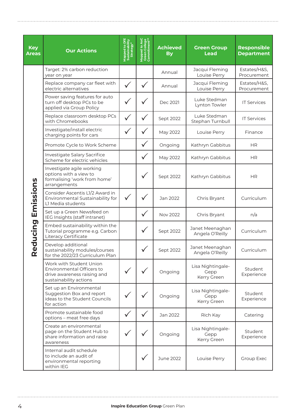| <b>Key</b><br><b>Areas</b> | <b>Our Actions</b>                                                                                            | Mapped to DfE<br>Sustainability<br>Strategy* | Mapped to AoC<br>Green College<br>Commitment** | <b>Achieved</b><br><b>By</b> | <b>Green Group</b><br><b>Lead</b>        | <b>Responsible</b><br><b>Department</b> |
|----------------------------|---------------------------------------------------------------------------------------------------------------|----------------------------------------------|------------------------------------------------|------------------------------|------------------------------------------|-----------------------------------------|
|                            | Target: 2% carbon reduction<br>year on year                                                                   |                                              |                                                | Annual                       | Jacqui Fleming<br>Louise Perry           | Estates/H&S,<br>Procurement             |
|                            | Replace company car fleet with<br>electric alternatives                                                       | $\checkmark$                                 | $\checkmark$                                   | Annual                       | Jacqui Fleming<br>Louise Perry           | Estates/H&S,<br>Procurement             |
|                            | Power saving features for auto<br>turn off desktop PCs to be<br>applied via Group Policy                      | V                                            |                                                | Dec 2021                     | Luke Stedman<br>Lynton Towler            | <b>IT Services</b>                      |
|                            | Replace classroom desktop PCs<br>with Chromebooks                                                             | $\checkmark$                                 |                                                | Sept 2022                    | Luke Stedman<br>Stephan Turnbull         | <b>IT Services</b>                      |
|                            | Investigate/install electric<br>charging points for cars                                                      | $\checkmark$                                 |                                                | May 2022                     | Louise Perry                             | Finance                                 |
|                            | Promote Cycle to Work Scheme                                                                                  |                                              |                                                | Ongoing                      | Kathryn Gabbitus                         | <b>HR</b>                               |
| Emissions<br>Reducing      | Investigate Salary Sacrifice<br>Scheme for electric vehicles                                                  |                                              | $\checkmark$                                   | May 2022                     | Kathryn Gabbitus                         | <b>HR</b>                               |
|                            | Investigate agile working<br>options with a view to<br>formalising 'work from home'<br>arrangements           |                                              |                                                | Sept 2022                    | Kathryn Gabbitus                         | <b>HR</b>                               |
|                            | Consider Ascentis L1/2 Award in<br>Environmental Sustainability for<br>L1 Media students                      | $\checkmark$                                 |                                                | Jan 2022                     | Chris Bryant                             | Curriculum                              |
|                            | Set up a Green Newsfeed on<br>IEG Insights (staff intranet)                                                   |                                              |                                                | Nov 2022                     | Chris Bryant                             | n/a                                     |
|                            | Embed sustainability within the<br>Tutorial programme e.g. Carbon<br>Literacy Certificate                     |                                              |                                                | Sept 2022                    | Janet Meenaghan<br>Angela O'Reilly       | Curriculum                              |
|                            | Develop additional<br>sustainability modules/courses<br>for the 2022/23 Curriculum Plan                       |                                              |                                                | Sept 2022                    | Janet Meenaghan<br>Angela O'Reilly       | Curriculum                              |
|                            | Work with Student Union<br>Environmental Officers to<br>drive awareness raising and<br>sustainability actions |                                              |                                                | Ongoing                      | Lisa Nightingale-<br>Gepp<br>Kerry Green | Student<br>Experience                   |
|                            | Set up an Environmental<br>Suggestion Box and report<br>ideas to the Student Councils<br>for action           |                                              |                                                | Ongoing                      | Lisa Nightingale-<br>Gepp<br>Kerry Green | Student<br>Experience                   |
|                            | Promote sustainable food<br>options - meat free days                                                          | $\checkmark$                                 | $\checkmark$                                   | Jan 2022                     | Rich Kay                                 | Catering                                |
|                            | Create an environmental<br>page on the Student Hub to<br>share information and raise<br>awareness             |                                              |                                                | Ongoing                      | Lisa Nightingale-<br>Gepp<br>Kerry Green | Student<br>Experience                   |
|                            | Internal audit schedule<br>to include an audit of<br>environmental reporting<br>within IEG                    |                                              |                                                | June 2022                    | Louise Perry                             | Group Exec                              |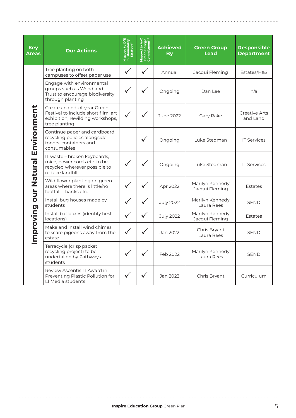| <b>Key</b><br><b>Areas</b>        | <b>Our Actions</b>                                                                                                      | Mapped to DfE<br>Sustainability<br>Strategy* | Mapped to AoC<br>Green College<br>Commitment** | <b>Achieved</b><br><b>By</b> | <b>Green Group</b><br><b>Lead</b> | <b>Responsible</b><br><b>Department</b> |
|-----------------------------------|-------------------------------------------------------------------------------------------------------------------------|----------------------------------------------|------------------------------------------------|------------------------------|-----------------------------------|-----------------------------------------|
| Improving our Natural Environment | Tree planting on both<br>campuses to offset paper use                                                                   | ✓                                            |                                                | Annual                       | Jacqui Fleming                    | Estates/H&S                             |
|                                   | Engage with environmental<br>groups such as Woodland<br>Trust to encourage biodiversity<br>through planting             |                                              |                                                | Ongoing                      | Dan Lee                           | n/a                                     |
|                                   | Create an end-of-year Green<br>Festival to include short film, art<br>exhibition, rewilding workshops,<br>tree planting |                                              |                                                | June 2022                    | Gary Rake                         | Creative Arts<br>and Land               |
|                                   | Continue paper and cardboard<br>recycling policies alongside<br>toners, containers and<br>consumables                   |                                              |                                                | Ongoing                      | Luke Stedman                      | <b>IT Services</b>                      |
|                                   | IT waste - broken keyboards,<br>mice, power cords etc. to be<br>recycled wherever possible to<br>reduce landfill        |                                              |                                                | Ongoing                      | Luke Stedman                      | <b>IT Services</b>                      |
|                                   | Wild flower planting on green<br>areas where there is little/no<br>footfall - banks etc.                                |                                              |                                                | Apr 2022                     | Marilyn Kennedy<br>Jacqui Fleming | <b>Estates</b>                          |
|                                   | Install bug houses made by<br>students                                                                                  |                                              |                                                | <b>July 2022</b>             | Marilyn Kennedy<br>Laura Rees     | <b>SEND</b>                             |
|                                   | Install bat boxes (identify best<br>locations)                                                                          |                                              |                                                | <b>July 2022</b>             | Marilyn Kennedy<br>Jacqui Fleming | <b>Estates</b>                          |
|                                   | Make and install wind chimes<br>to scare pigeons away from the<br>estate                                                |                                              |                                                | Jan 2022                     | Chris Bryant<br>Laura Rees        | <b>SEND</b>                             |
|                                   | Terracycle (crisp packet<br>recycling project) to be<br>undertaken by Pathways<br>students                              |                                              |                                                | Feb 2022                     | Marilyn Kennedy<br>Laura Rees     | <b>SEND</b>                             |
|                                   | Review Ascentis L1 Award in<br>Preventing Plastic Pollution for<br>L1 Media students                                    |                                              |                                                | Jan 2022                     | Chris Bryant                      | Curriculum                              |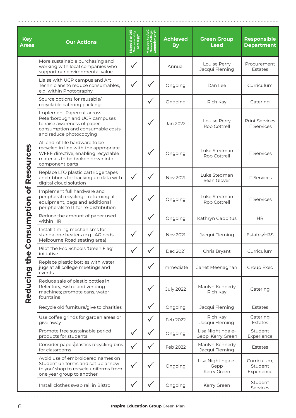| <b>Key</b><br><b>Areas</b>                                      | <b>Our Actions</b>                                                                                                                                                    | Mapped to DfE<br>Sustainability<br>Strategy* | Mapped to AoC<br>Green College<br>Commitment** | <b>Achieved</b><br><b>By</b> | <b>Green Group</b><br><b>Lead</b>        | <b>Responsible</b><br><b>Department</b>     |
|-----------------------------------------------------------------|-----------------------------------------------------------------------------------------------------------------------------------------------------------------------|----------------------------------------------|------------------------------------------------|------------------------------|------------------------------------------|---------------------------------------------|
|                                                                 | More sustainable purchasing and<br>working with local companies who<br>support our environmental value                                                                |                                              |                                                | Annual                       | Louise Perry<br>Jacqui Fleming           | Procurement<br><b>Estates</b>               |
|                                                                 | Liaise with UCP campus and Art<br>Technicians to reduce consumables,<br>e.g. within Photography                                                                       |                                              |                                                | Ongoing                      | Dan Lee                                  | Curriculum                                  |
|                                                                 | Source options for reusable/<br>recyclable catering packing                                                                                                           |                                              |                                                | Ongoing                      | Rich Kay                                 | Catering                                    |
| Resources<br>bf<br>onsumption<br>$\overline{O}$<br>Reducing the | Implement Papercut across<br>Peterborough and UCP campuses<br>to raise awareness of paper<br>consumption and consumable costs,<br>and reduce photocopying             |                                              |                                                | Jan 2022                     | Louise Perry<br>Rob Cottrell             | <b>Print Services</b><br><b>IT Services</b> |
|                                                                 | All end-of-life hardware to be<br>recycled in line with the appropriate<br>WEEE directive, enabling recyclable<br>materials to be broken down into<br>component parts |                                              |                                                | Ongoing                      | Luke Stedman<br>Rob Cottrell             | <b>IT Services</b>                          |
|                                                                 | Replace LTO plastic cartridge tapes<br>and ribbons for backing up data with<br>digital cloud solution                                                                 |                                              |                                                | Nov 2021                     | Luke Stedman<br>Sean Glover              | <b>IT Services</b>                          |
|                                                                 | Implement full hardware and<br>peripheral recycling - returning all<br>equipment, bags and additional<br>peripherals to IT for re-distribution                        |                                              |                                                | Ongoing                      | Luke Stedman<br>Rob Cottrell             | <b>IT Services</b>                          |
|                                                                 | Reduce the amount of paper used<br>within HR                                                                                                                          |                                              |                                                | Ongoing                      | Kathryn Gabbitus                         | <b>HR</b>                                   |
|                                                                 | Install timing mechanisms for<br>standalone heaters (e.g. IAG pods,<br>Melbourne Road seating area)                                                                   |                                              |                                                | Nov 2021                     | Jacqui Fleming                           | Estates/H&S                                 |
|                                                                 | Pilot the Eco Schools 'Green Flag'<br>initiative                                                                                                                      |                                              |                                                | Dec 2021                     | Chris Bryant                             | Curriculum                                  |
|                                                                 | Replace plastic bottles with water<br>jugs at all college meetings and<br>events                                                                                      |                                              | $\checkmark$                                   | Immediate                    | Janet Meenaghan                          | Group Exec                                  |
|                                                                 | Reduce sale of plastic bottles in<br>Refectory, Bistro and vending<br>machines; promote cans, water<br>fountains                                                      |                                              | $\checkmark$                                   | <b>July 2022</b>             | Marilyn Kennedy<br>Rich Kay              | Catering                                    |
|                                                                 | Recycle old furniture/give to charities                                                                                                                               |                                              | $\checkmark$                                   | Ongoing                      | Jacqui Fleming                           | <b>Estates</b>                              |
|                                                                 | Use coffee grinds for garden areas or<br>give away                                                                                                                    |                                              | $\checkmark$                                   | Feb 2022                     | Rich Kay<br>Jacqui Fleming               | Catering<br><b>Estates</b>                  |
|                                                                 | Promote free sustainable period<br>products for students                                                                                                              | $\checkmark$                                 | $\checkmark$                                   | Ongoing                      | Lisa Nightingale-<br>Gepp, Kerry Green   | Student<br>Experience                       |
|                                                                 | Consider paper/plastics recycling bins<br>for classrooms                                                                                                              |                                              |                                                | Feb 2022                     | Marilyn Kennedy<br>Jacqui Fleming        | <b>Estates</b>                              |
|                                                                 | Avoid use of embroidered names on<br>Student uniforms and set up a 'new<br>to you' shop to recycle uniforms from<br>one year group to another                         |                                              | ✓                                              | Ongoing                      | Lisa Nightingale-<br>Gepp<br>Kerry Green | Curriculum,<br>Student<br>Experience        |
|                                                                 | Install clothes swap rail in Bistro                                                                                                                                   | ⋎                                            |                                                | Ongoing                      | Kerry Green                              | Student<br>Services                         |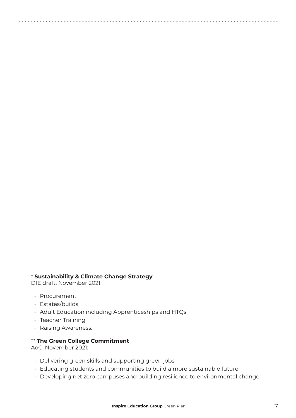### \* **Sustainability & Climate Change Strategy**

DfE draft, November 2021:

- Procurement
- Estates/builds
- Adult Education including Apprenticeships and HTQs
- Teacher Training
- Raising Awareness.

#### \*\* **The Green College Commitment**

AoC, November 2021:

- Delivering green skills and supporting green jobs
- Educating students and communities to build a more sustainable future
- Developing net zero campuses and building resilience to environmental change.